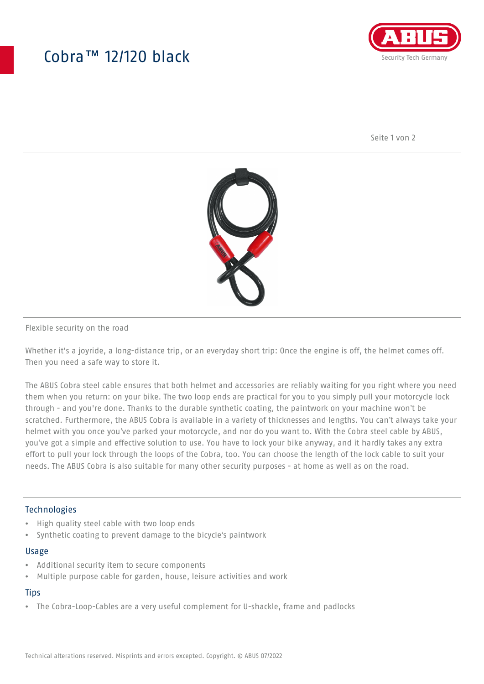## Cobra™ 12/120 black



Seite 1 von 2



#### Flexible security on the road

Whether it's a joyride, a long-distance trip, or an everyday short trip: Once the engine is off, the helmet comes off. Then you need a safe way to store it.

The ABUS Cobra steel cable ensures that both helmet and accessories are reliably waiting for you right where you need them when you return: on your bike. The two loop ends are practical for you to you simply pull your motorcycle lock through - and you're done. Thanks to the durable synthetic coating, the paintwork on your machine won't be scratched. Furthermore, the ABUS Cobra is available in a variety of thicknesses and lengths. You can't always take your helmet with you once you've parked your motorcycle, and nor do you want to. With the Cobra steel cable by ABUS, you've got a simple and effective solution to use. You have to lock your bike anyway, and it hardly takes any extra effort to pull your lock through the loops of the Cobra, too. You can choose the length of the lock cable to suit your needs. The ABUS Cobra is also suitable for many other security purposes - at home as well as on the road.

## **Technologies**

- High quality steel cable with two loop ends
- Synthetic coating to prevent damage to the bicycle's paintwork

#### Usage

- Additional security item to secure components
- Multiple purpose cable for garden, house, leisure activities and work

## **Tips**

• The Cobra-Loop-Cables are a very useful complement for U-shackle, frame and padlocks